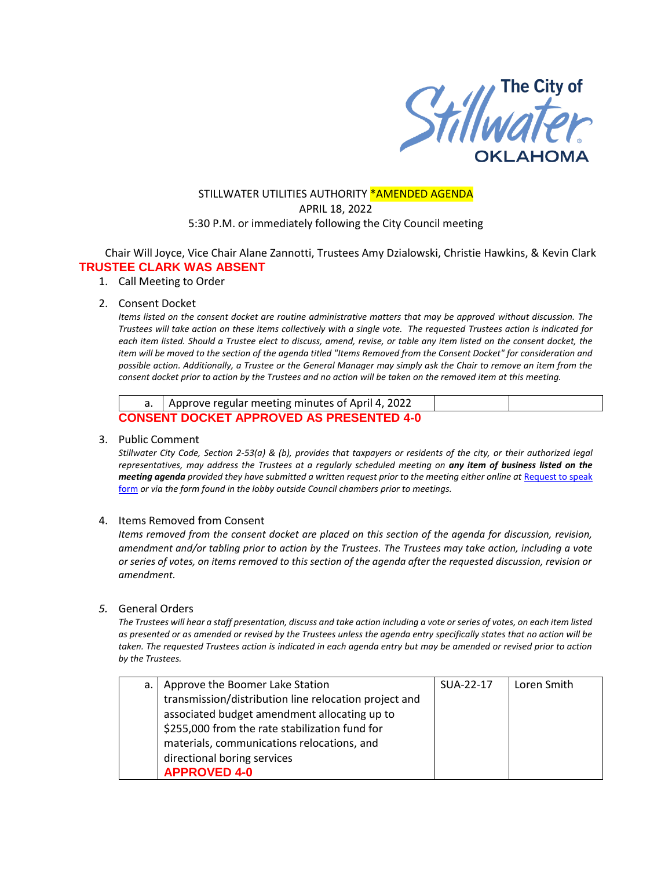

## STILLWATER UTILITIES AUTHORITY \*AMENDED AGENDA APRIL 18, 2022 5:30 P.M. or immediately following the City Council meeting

Chair Will Joyce, Vice Chair Alane Zannotti, Trustees Amy Dzialowski, Christie Hawkins, & Kevin Clark **TRUSTEE CLARK WAS ABSENT**

1. Call Meeting to Order

#### 2. Consent Docket

*Items listed on the consent docket are routine administrative matters that may be approved without discussion. The Trustees will take action on these items collectively with a single vote. The requested Trustees action is indicated for each item listed. Should a Trustee elect to discuss, amend, revise, or table any item listed on the consent docket, the item will be moved to the section of the agenda titled "Items Removed from the Consent Docket" for consideration and possible action. Additionally, a Trustee or the General Manager may simply ask the Chair to remove an item from the consent docket prior to action by the Trustees and no action will be taken on the removed item at this meeting.*

| a.   Approve regular meeting minutes of April 4, 2022 |  |
|-------------------------------------------------------|--|
| <b>CONSENT DOCKET APPROVED AS PRESENTED 4-0</b>       |  |

#### 3. Public Comment

*Stillwater City Code, Section 2-53(a) & (b), provides that taxpayers or residents of the city, or their authorized legal representatives, may address the Trustees at a regularly scheduled meeting on any item of business listed on the meeting agenda provided they have submitted a written request prior to the meeting either online at Request to speak* [form](http://stillwater.org/page/home/government/mayor-city-council/meetings-agendas-minutes/online-request-to-speak-at-city-council) *or via the form found in the lobby outside Council chambers prior to meetings.*

### 4. Items Removed from Consent

*Items removed from the consent docket are placed on this section of the agenda for discussion, revision, amendment and/or tabling prior to action by the Trustees. The Trustees may take action, including a vote or series of votes, on items removed to this section of the agenda after the requested discussion, revision or amendment.* 

#### *5.* General Orders

*The Trustees will hear a staff presentation, discuss and take action including a vote or series of votes, on each item listed as presented or as amended or revised by the Trustees unless the agenda entry specifically states that no action will be taken. The requested Trustees action is indicated in each agenda entry but may be amended or revised prior to action by the Trustees.* 

| a.   Approve the Boomer Lake Station                  | SUA-22-17 | Loren Smith |
|-------------------------------------------------------|-----------|-------------|
| transmission/distribution line relocation project and |           |             |
| associated budget amendment allocating up to          |           |             |
| \$255,000 from the rate stabilization fund for        |           |             |
| materials, communications relocations, and            |           |             |
| directional boring services                           |           |             |
| <b>APPROVED 4-0</b>                                   |           |             |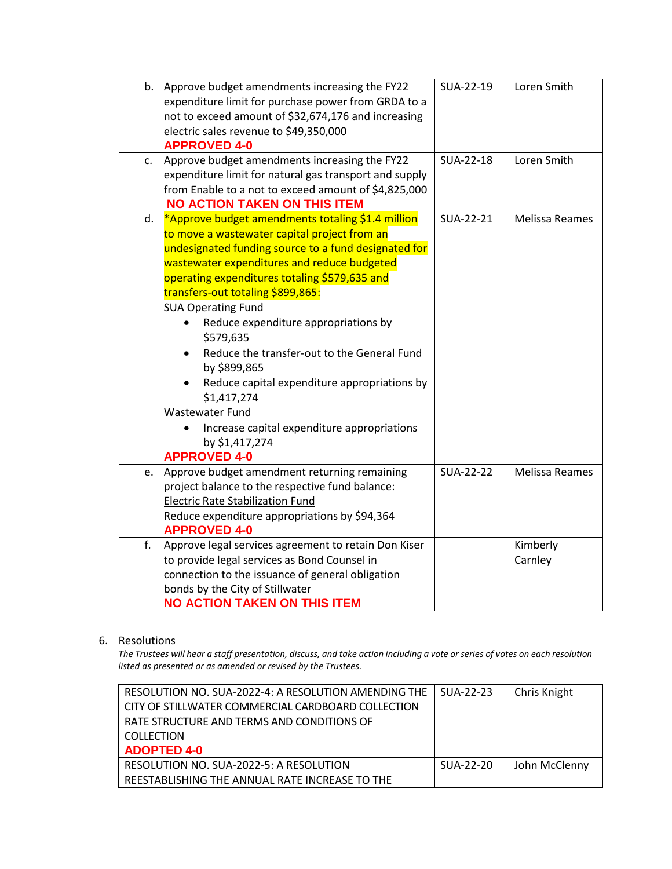| b.<br>c. | Approve budget amendments increasing the FY22<br>expenditure limit for purchase power from GRDA to a<br>not to exceed amount of \$32,674,176 and increasing<br>electric sales revenue to \$49,350,000<br><b>APPROVED 4-0</b><br>Approve budget amendments increasing the FY22<br>expenditure limit for natural gas transport and supply<br>from Enable to a not to exceed amount of \$4,825,000                                                                                                                                                                                                                           | SUA-22-19<br>SUA-22-18 | Loren Smith<br>Loren Smith |
|----------|---------------------------------------------------------------------------------------------------------------------------------------------------------------------------------------------------------------------------------------------------------------------------------------------------------------------------------------------------------------------------------------------------------------------------------------------------------------------------------------------------------------------------------------------------------------------------------------------------------------------------|------------------------|----------------------------|
|          | <b>NO ACTION TAKEN ON THIS ITEM</b>                                                                                                                                                                                                                                                                                                                                                                                                                                                                                                                                                                                       |                        |                            |
| d.       | *Approve budget amendments totaling \$1.4 million<br>to move a wastewater capital project from an<br>undesignated funding source to a fund designated for<br>wastewater expenditures and reduce budgeted<br>operating expenditures totaling \$579,635 and<br>transfers-out totaling \$899,865:<br><b>SUA Operating Fund</b><br>Reduce expenditure appropriations by<br>\$579,635<br>Reduce the transfer-out to the General Fund<br>by \$899,865<br>Reduce capital expenditure appropriations by<br>\$1,417,274<br>Wastewater Fund<br>Increase capital expenditure appropriations<br>by \$1,417,274<br><b>APPROVED 4-0</b> | SUA-22-21              | <b>Melissa Reames</b>      |
| e.       | Approve budget amendment returning remaining                                                                                                                                                                                                                                                                                                                                                                                                                                                                                                                                                                              | <b>SUA-22-22</b>       | <b>Melissa Reames</b>      |
|          | project balance to the respective fund balance:<br><b>Electric Rate Stabilization Fund</b><br>Reduce expenditure appropriations by \$94,364<br><b>APPROVED 4-0</b>                                                                                                                                                                                                                                                                                                                                                                                                                                                        |                        |                            |
| f.       | Approve legal services agreement to retain Don Kiser                                                                                                                                                                                                                                                                                                                                                                                                                                                                                                                                                                      |                        | Kimberly                   |
|          | to provide legal services as Bond Counsel in                                                                                                                                                                                                                                                                                                                                                                                                                                                                                                                                                                              |                        | Carnley                    |
|          | connection to the issuance of general obligation                                                                                                                                                                                                                                                                                                                                                                                                                                                                                                                                                                          |                        |                            |
|          | bonds by the City of Stillwater<br><b>NO ACTION TAKEN ON THIS ITEM</b>                                                                                                                                                                                                                                                                                                                                                                                                                                                                                                                                                    |                        |                            |
|          |                                                                                                                                                                                                                                                                                                                                                                                                                                                                                                                                                                                                                           |                        |                            |

### 6. Resolutions

*The Trustees will hear a staff presentation, discuss, and take action including a vote or series of votes on each resolution listed as presented or as amended or revised by the Trustees.* 

| RESOLUTION NO. SUA-2022-4: A RESOLUTION AMENDING THE | SUA-22-23   | Chris Knight  |
|------------------------------------------------------|-------------|---------------|
| CITY OF STILLWATER COMMERCIAL CARDBOARD COLLECTION   |             |               |
| RATE STRUCTURE AND TERMS AND CONDITIONS OF           |             |               |
| <b>COLLECTION</b>                                    |             |               |
| <b>ADOPTED 4-0</b>                                   |             |               |
| RESOLUTION NO. SUA-2022-5: A RESOLUTION              | $SUA-22-20$ | John McClenny |
| REESTABLISHING THE ANNUAL RATE INCREASE TO THE       |             |               |